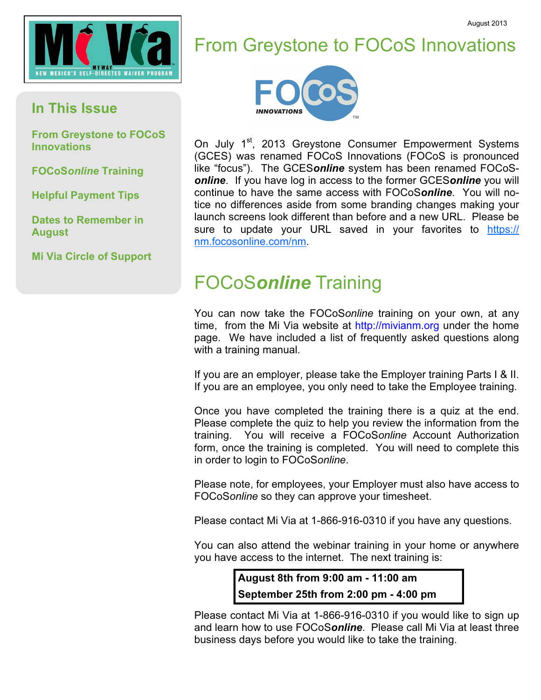



## From Greystone to FOCoS Innovations



On July 1<sup>st</sup>, 2013 Greystone Consumer Empowerment Systems (GCES) was renamed FOCoS Innovations (FOCoS is pronounced like "focus"). The GCESonline system has been renamed FOCoSonline. If you have log in access to the former GCESonline you will continue to have the same access with FOCoSonline. You will notice no differences aside from some branding changes making your launch screens look different than before and a new URL. Please be sure to update your URL saved in your favorites to https:// nm.focosonline.com/nm.

## FOCoSonline Training

You can now take the FOCoSonline training on your own, at any time, from the Mi Via website at http://mivianm.org under the home page. We have included a list of frequently asked questions along with a training manual.

If you are an employer, please take the Employer training Parts I & II. If you are an employee, you only need to take the Employee training.

Once you have completed the training there is a quiz at the end. Please complete the quiz to help you review the information from the training. You will receive a FOCoSonline Account Authorization form, once the training is completed. You will need to complete this in order to login to FOCoSonline.

Please note, for employees, your Employer must also have access to FOCoSonline so they can approve your timesheet.

Please contact Mi Via at 1-866-916-0310 if you have any questions.

You can also attend the webinar training in your home or anywhere you have access to the internet. The next training is:

> August 8th from 9:00 am - 11:00 am September 25th from 2:00 pm - 4:00 pm

Please contact Mi Via at 1-866-916-0310 if you would like to sign up and learn how to use FOCoSonline. Please call Mi Via at least three business days before you would like to take the training.

## In This Issue

From Greystone to FOCoS Innovations

FOCoSonline Training

Helpful Payment Tips

Dates to Remember in August

Mi Via Circle of Support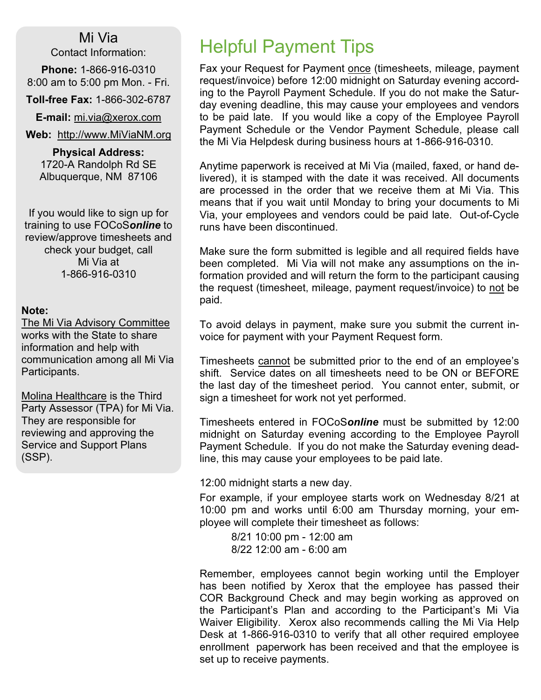Mi Via Contact Information:

Phone: 1-866-916-0310 8:00 am to 5:00 pm Mon. - Fri.

Toll-free Fax: 1-866-302-6787

**E-mail:** mi.via@xerox.com

Web: http://www.MiViaNM.org

Physical Address: 1720-A Randolph Rd SE Albuquerque, NM 87106

If you would like to sign up for training to use FOCoSonline to review/approve timesheets and check your budget, call Mi Via at 1-866-916-0310

### Note:

The Mi Via Advisory Committee works with the State to share information and help with communication among all Mi Via Participants.

Molina Healthcare is the Third Party Assessor (TPA) for Mi Via. They are responsible for reviewing and approving the Service and Support Plans (SSP).

Fax your Request for Payment once (timesheets, mileage, payment request/invoice) before 12:00 midnight on Saturday evening according to the Payroll Payment Schedule. If you do not make the Saturday evening deadline, this may cause your employees and vendors to be paid late. If you would like a copy of the Employee Payroll Payment Schedule or the Vendor Payment Schedule, please call the Mi Via Helpdesk during business hours at 1-866-916-0310.

Anytime paperwork is received at Mi Via (mailed, faxed, or hand delivered), it is stamped with the date it was received. All documents are processed in the order that we receive them at Mi Via. This means that if you wait until Monday to bring your documents to Mi Via, your employees and vendors could be paid late. Out-of-Cycle runs have been discontinued.

Make sure the form submitted is legible and all required fields have been completed. Mi Via will not make any assumptions on the information provided and will return the form to the participant causing the request (timesheet, mileage, payment request/invoice) to not be paid.

To avoid delays in payment, make sure you submit the current invoice for payment with your Payment Request form.

Timesheets cannot be submitted prior to the end of an employee's shift. Service dates on all timesheets need to be ON or BEFORE the last day of the timesheet period. You cannot enter, submit, or sign a timesheet for work not yet performed.

Timesheets entered in FOCoSonline must be submitted by 12:00 midnight on Saturday evening according to the Employee Payroll Payment Schedule. If you do not make the Saturday evening deadline, this may cause your employees to be paid late.

12:00 midnight starts a new day.

For example, if your employee starts work on Wednesday 8/21 at 10:00 pm and works until 6:00 am Thursday morning, your employee will complete their timesheet as follows:

 8/21 10:00 pm - 12:00 am 8/22 12:00 am - 6:00 am

Remember, employees cannot begin working until the Employer has been notified by Xerox that the employee has passed their COR Background Check and may begin working as approved on the Participant's Plan and according to the Participant's Mi Via Waiver Eligibility. Xerox also recommends calling the Mi Via Help Desk at 1-866-916-0310 to verify that all other required employee enrollment paperwork has been received and that the employee is set up to receive payments.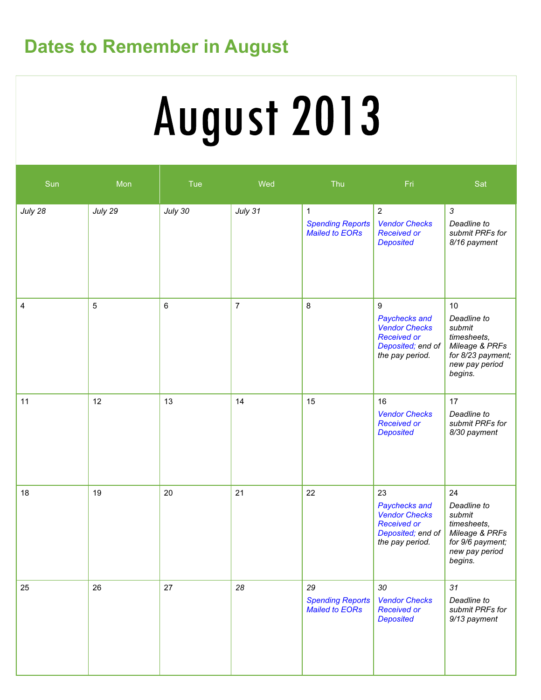## Dates to Remember in August

# August 2013

| Sun     | Mon     | Tue     | Wed            | Thu                                                              | Fri                                                                                                          | Sat                                                                                                            |
|---------|---------|---------|----------------|------------------------------------------------------------------|--------------------------------------------------------------------------------------------------------------|----------------------------------------------------------------------------------------------------------------|
| July 28 | July 29 | July 30 | July 31        | $\mathbf{1}$<br><b>Spending Reports</b><br><b>Mailed to EORs</b> | $\sqrt{2}$<br><b>Vendor Checks</b><br><b>Received or</b><br><b>Deposited</b>                                 | $\mathfrak{Z}$<br>Deadline to<br>submit PRFs for<br>8/16 payment                                               |
| 4       | 5       | 6       | $\overline{7}$ | 8                                                                | $9\,$<br>Paychecks and<br><b>Vendor Checks</b><br><b>Received or</b><br>Deposited; end of<br>the pay period. | 10<br>Deadline to<br>submit<br>timesheets,<br>Mileage & PRFs<br>for 8/23 payment;<br>new pay period<br>begins. |
| 11      | 12      | 13      | 14             | 15                                                               | 16<br><b>Vendor Checks</b><br><b>Received or</b><br><b>Deposited</b>                                         | 17<br>Deadline to<br>submit PRFs for<br>8/30 payment                                                           |
| 18      | 19      | 20      | 21             | 22                                                               | 23<br>Paychecks and<br><b>Vendor Checks</b><br><b>Received or</b><br>Deposited; end of<br>the pay period.    | 24<br>Deadline to<br>submit<br>timesheets,<br>Mileage & PRFs<br>for 9/6 payment;<br>new pay period<br>begins.  |
| 25      | 26      | 27      | 28             | 29<br><b>Spending Reports</b><br><b>Mailed to EORs</b>           | 30<br><b>Vendor Checks</b><br><b>Received or</b><br><b>Deposited</b>                                         | 31<br>Deadline to<br>submit PRFs for<br>9/13 payment                                                           |